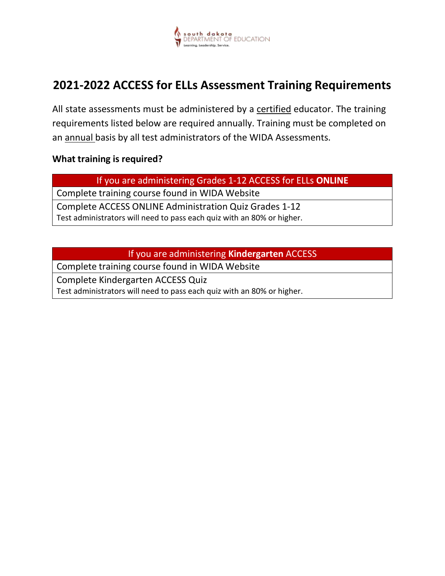

## **2021-2022 ACCESS for ELLs Assessment Training Requirements**

All state assessments must be administered by a certified educator. The training requirements listed below are required annually. Training must be completed on an annual basis by all test administrators of the WIDA Assessments.

## **What training is required?**

If you are administering Grades 1-12 ACCESS for ELLs **ONLINE**

Complete training course found in WIDA Website

Complete ACCESS ONLINE Administration Quiz Grades 1-12 Test administrators will need to pass each quiz with an 80% or higher.

If you are administering **Kindergarten** ACCESS

Complete training course found in WIDA Website

Complete Kindergarten ACCESS Quiz Test administrators will need to pass each quiz with an 80% or higher.